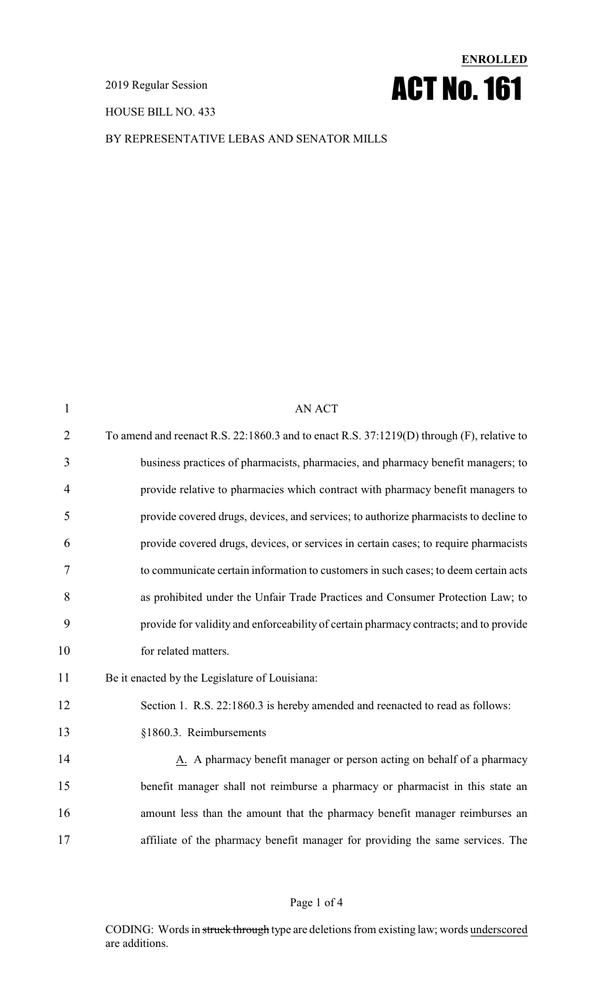HOUSE BILL NO. 433



BY REPRESENTATIVE LEBAS AND SENATOR MILLS

| $\mathbf{1}$   | AN ACT                                                                                    |
|----------------|-------------------------------------------------------------------------------------------|
| $\overline{2}$ | To amend and reenact R.S. 22:1860.3 and to enact R.S. 37:1219(D) through (F), relative to |
| 3              | business practices of pharmacists, pharmacies, and pharmacy benefit managers; to          |
| $\overline{4}$ | provide relative to pharmacies which contract with pharmacy benefit managers to           |
| 5              | provide covered drugs, devices, and services; to authorize pharmacists to decline to      |
| 6              | provide covered drugs, devices, or services in certain cases; to require pharmacists      |
| 7              | to communicate certain information to customers in such cases; to deem certain acts       |
| 8              | as prohibited under the Unfair Trade Practices and Consumer Protection Law; to            |
| 9              | provide for validity and enforceability of certain pharmacy contracts; and to provide     |
| 10             | for related matters.                                                                      |
| 11             | Be it enacted by the Legislature of Louisiana:                                            |
| 12             | Section 1. R.S. 22:1860.3 is hereby amended and reenacted to read as follows:             |
| 13             | §1860.3. Reimbursements                                                                   |
| 14             | A. A pharmacy benefit manager or person acting on behalf of a pharmacy                    |
| 15             | benefit manager shall not reimburse a pharmacy or pharmacist in this state an             |
| 16             | amount less than the amount that the pharmacy benefit manager reimburses an               |
| 17             | affiliate of the pharmacy benefit manager for providing the same services. The            |
|                |                                                                                           |

### Page 1 of 4

CODING: Words in struck through type are deletions from existing law; words underscored are additions.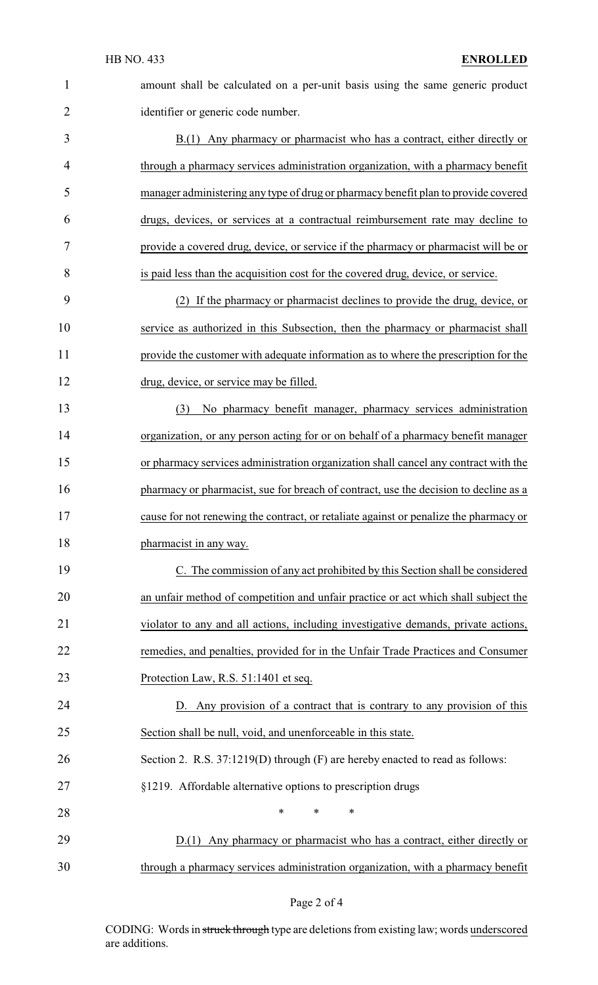| $\overline{2}$ |  |
|----------------|--|
| $\overline{3}$ |  |
| 4              |  |
| 5              |  |
| 6              |  |

amount shall be calculated on a per-unit basis using the same generic product identifier or generic code number.

 B.(1) Any pharmacy or pharmacist who has a contract, either directly or through a pharmacy services administration organization, with a pharmacy benefit manager administering any type of drug or pharmacy benefit plan to provide covered drugs, devices, or services at a contractual reimbursement rate may decline to provide a covered drug, device, or service if the pharmacy or pharmacist will be or is paid less than the acquisition cost for the covered drug, device, or service.

 (2) If the pharmacy or pharmacist declines to provide the drug, device, or service as authorized in this Subsection, then the pharmacy or pharmacist shall provide the customer with adequate information as to where the prescription for the drug, device, or service may be filled.

 (3) No pharmacy benefit manager, pharmacy services administration organization, or any person acting for or on behalf of a pharmacy benefit manager or pharmacy services administration organization shall cancel any contract with the 16 pharmacy or pharmacist, sue for breach of contract, use the decision to decline as a cause for not renewing the contract, or retaliate against or penalize the pharmacy or pharmacist in any way.

 C. The commission of any act prohibited by this Section shall be considered an unfair method of competition and unfair practice or act which shall subject the violator to any and all actions, including investigative demands, private actions, remedies, and penalties, provided for in the Unfair Trade Practices and Consumer Protection Law, R.S. 51:1401 et seq.

 D. Any provision of a contract that is contrary to any provision of this Section shall be null, void, and unenforceable in this state. Section 2. R.S. 37:1219(D) through (F) are hereby enacted to read as follows:

§1219. Affordable alternative options to prescription drugs

**\*** \* \* \* 29 D.(1) Any pharmacy or pharmacist who has a contract, either directly or through a pharmacy services administration organization, with a pharmacy benefit

#### Page 2 of 4

CODING: Words in struck through type are deletions from existing law; words underscored are additions.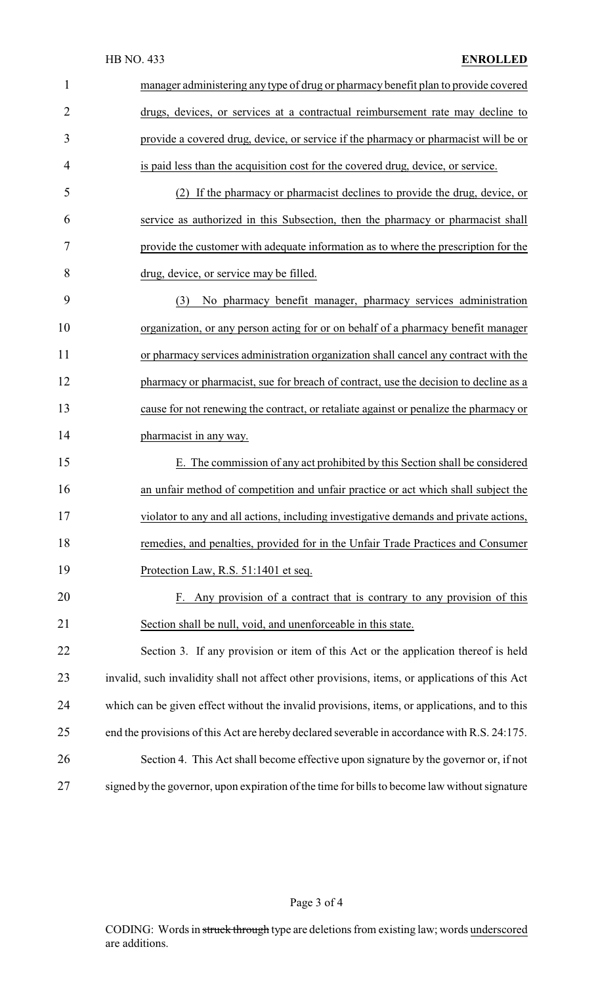| $\mathbf{1}$   | manager administering any type of drug or pharmacy benefit plan to provide covered             |
|----------------|------------------------------------------------------------------------------------------------|
| $\overline{2}$ | drugs, devices, or services at a contractual reimbursement rate may decline to                 |
| 3              | provide a covered drug, device, or service if the pharmacy or pharmacist will be or            |
| 4              | is paid less than the acquisition cost for the covered drug, device, or service.               |
| 5              | (2) If the pharmacy or pharmacist declines to provide the drug, device, or                     |
| 6              | service as authorized in this Subsection, then the pharmacy or pharmacist shall                |
| 7              | provide the customer with adequate information as to where the prescription for the            |
| 8              | drug, device, or service may be filled.                                                        |
| 9              | No pharmacy benefit manager, pharmacy services administration<br>(3)                           |
| 10             | organization, or any person acting for or on behalf of a pharmacy benefit manager              |
| 11             | or pharmacy services administration organization shall cancel any contract with the            |
| 12             | pharmacy or pharmacist, sue for breach of contract, use the decision to decline as a           |
| 13             | cause for not renewing the contract, or retaliate against or penalize the pharmacy or          |
| 14             | pharmacist in any way.                                                                         |
| 15             | E. The commission of any act prohibited by this Section shall be considered                    |
| 16             | an unfair method of competition and unfair practice or act which shall subject the             |
| 17             | violator to any and all actions, including investigative demands and private actions,          |
| 18             | remedies, and penalties, provided for in the Unfair Trade Practices and Consumer               |
| 19             | Protection Law, R.S. 51:1401 et seq.                                                           |
| 20             | F. Any provision of a contract that is contrary to any provision of this                       |
| 21             | Section shall be null, void, and unenforceable in this state.                                  |
| 22             | Section 3. If any provision or item of this Act or the application thereof is held             |
| 23             | invalid, such invalidity shall not affect other provisions, items, or applications of this Act |
| 24             | which can be given effect without the invalid provisions, items, or applications, and to this  |
| 25             | end the provisions of this Act are hereby declared severable in accordance with R.S. 24:175.   |
| 26             | Section 4. This Act shall become effective upon signature by the governor or, if not           |
| 27             | signed by the governor, upon expiration of the time for bills to become law without signature  |

Page 3 of 4